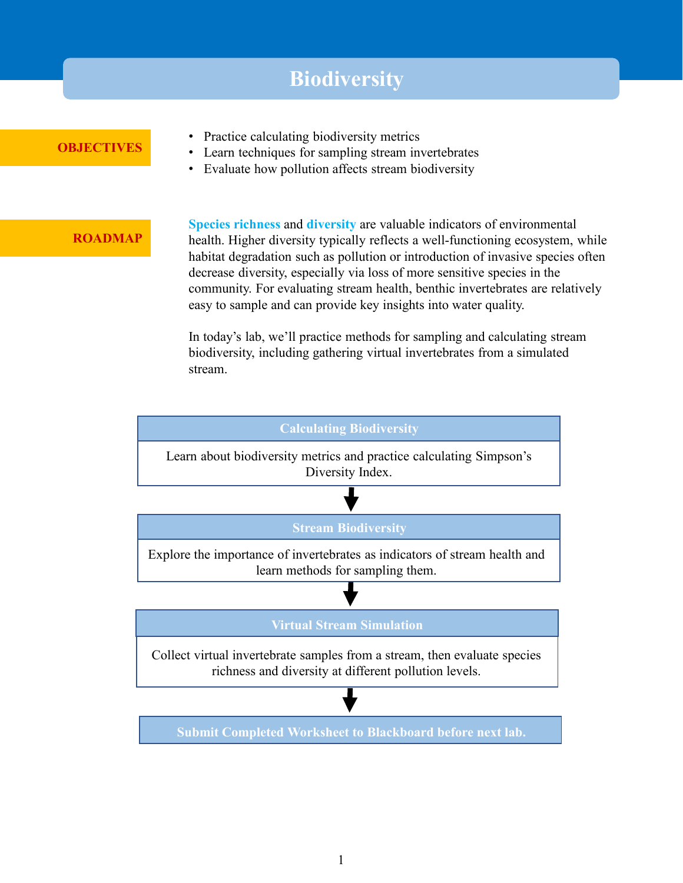## **Biodiversity**

### **OBJECTIVES**

- Practice calculating biodiversity metrics
- Learn techniques for sampling stream invertebrates
- Evaluate how pollution affects stream biodiversity

#### **ROADMAP**

**Species richness** and **diversity** are valuable indicators of environmental health. Higher diversity typically reflects a well-functioning ecosystem, while habitat degradation such as pollution or introduction of invasive species often decrease diversity, especially via loss of more sensitive species in the community. For evaluating stream health, benthic invertebrates are relatively easy to sample and can provide key insights into water quality.

In today's lab, we'll practice methods for sampling and calculating stream biodiversity, including gathering virtual invertebrates from a simulated stream.



**Submit Completed Worksheet to Blackboard before next lab.**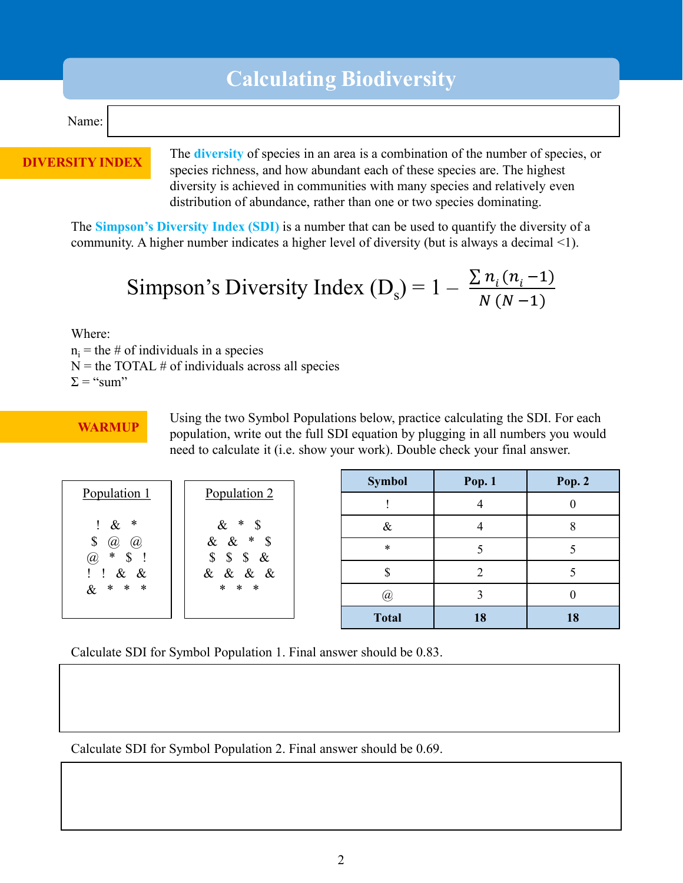# **Calculating Biodiversity**

#### Name:

#### **DIVERSITY INDEX**

The **diversity** of species in an area is a combination of the number of species, or species richness, and how abundant each of these species are. The highest diversity is achieved in communities with many species and relatively even distribution of abundance, rather than one or two species dominating.

The **Simpson's Diversity Index (SDI)** is a number that can be used to quantify the diversity of a community. A higher number indicates a higher level of diversity (but is always a decimal <1).

Simpson's Diversity Index (
$$
D_s
$$
) = 1 -  $\frac{\sum n_i (n_i - 1)}{N (N - 1)}$ 

Where:

 $n_i$  = the # of individuals in a species

 $N =$  the TOTAL # of individuals across all species

 $\Sigma =$  "sum"

WARMUP Using the two Symbol Populations below, practice calculating the SDI. For each warm were resulted to the full SDI caughten by always in all numbers you would population, write out the full SDI equation by plugging in all numbers you would need to calculate it (i.e. show your work). Double check your final answer.

|                                                                                                                                             | Population 2<br>& * $\begin{array}{c} 8 \\ 8 \\ 4 \end{array}$ * \$<br>$\$ $\$ $\$ &<br>& & & &<br>* * * | <b>Symbol</b> | Pop. $1$ | <b>Pop. 2</b> |
|---------------------------------------------------------------------------------------------------------------------------------------------|----------------------------------------------------------------------------------------------------------|---------------|----------|---------------|
| Population 1                                                                                                                                |                                                                                                          |               |          |               |
| ∗<br>$\&$<br>Ţ.<br>$\mathbb{S}$<br>$\left(\overline{a}\right)$<br>$\left(\overline{a}\right)$<br>$\ast$<br>@<br>\$<br>$! \t3x 8$<br>& * * * |                                                                                                          | $\&$          |          | O             |
|                                                                                                                                             |                                                                                                          | $\ast$        |          |               |
|                                                                                                                                             |                                                                                                          |               |          |               |
|                                                                                                                                             |                                                                                                          | @             |          |               |
|                                                                                                                                             |                                                                                                          | <b>Total</b>  | 18       | 18            |

Calculate SDI for Symbol Population 1. Final answer should be 0.83.

Calculate SDI for Symbol Population 2. Final answer should be 0.69.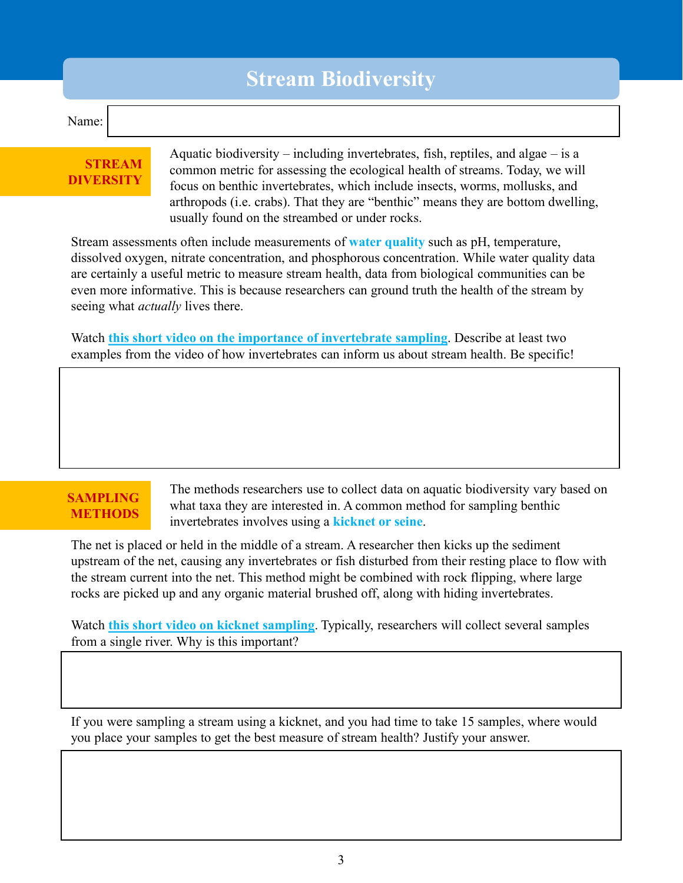# **Stream Biodiversity**

#### Name:

### **STREAM DIVERSITY**

Aquatic biodiversity – including invertebrates, fish, reptiles, and algae – is a common metric for assessing the ecological health of streams. Today, we will focus on benthic invertebrates, which include insects, worms, mollusks, and arthropods (i.e. crabs). That they are "benthic" means they are bottom dwelling, usually found on the streambed or under rocks.

Stream assessments often include measurements of **water quality** such as pH, temperature, dissolved oxygen, nitrate concentration, and phosphorous concentration. While water quality data are certainly a useful metric to measure stream health, data from biological communities can be even more informative. This is because researchers can ground truth the health of the stream by seeing what *actually* lives there.

Watch **[this short video on the importance of invertebrate sampling](https://www.youtube.com/watch?v=28j4D5o2RqQ)**. Describe at least two examples from the video of how invertebrates can inform us about stream health. Be specific!

### **SAMPLING METHODS**

The methods researchers use to collect data on aquatic biodiversity vary based on what taxa they are interested in. A common method for sampling benthic invertebrates involves using a **kicknet or seine**.

The net is placed or held in the middle of a stream. A researcher then kicks up the sediment upstream of the net, causing any invertebrates or fish disturbed from their resting place to flow with the stream current into the net. This method might be combined with rock flipping, where large rocks are picked up and any organic material brushed off, along with hiding invertebrates.

Watch **[this short video on kicknet](https://www.youtube.com/watch?v=ieG2H52nxkQ) sampling**. Typically, researchers will collect several samples from a single river. Why is this important?

If you were sampling a stream using a kicknet, and you had time to take 15 samples, where would you place your samples to get the best measure of stream health? Justify your answer.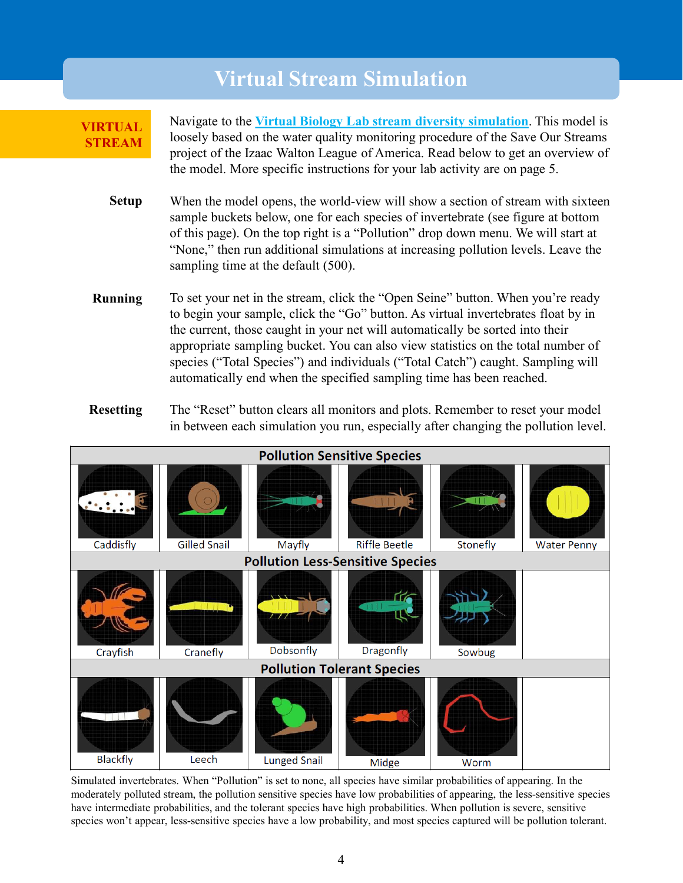## **Virtual Stream Simulation**

**VIRTUAL STREAM** Navigate to the **[Virtual Biology Lab stream diversity simulation](http://virtualbiologylab.org/NetWebHTML_FilesJan2016/StreamDiversityModel.html)**. This model is loosely based on the water quality monitoring procedure of the Save Our Streams project of the Izaac Walton League of America. Read below to get an overview of the model. More specific instructions for your lab activity are on page 5.

- When the model opens, the world-view will show a section of stream with sixteen sample buckets below, one for each species of invertebrate (see figure at bottom of this page). On the top right is a "Pollution" drop down menu. We will start at "None," then run additional simulations at increasing pollution levels. Leave the sampling time at the default (500). **Setup**
- To set your net in the stream, click the "Open Seine" button. When you're ready to begin your sample, click the "Go" button. As virtual invertebrates float by in the current, those caught in your net will automatically be sorted into their appropriate sampling bucket. You can also view statistics on the total number of species ("Total Species") and individuals ("Total Catch") caught. Sampling will automatically end when the specified sampling time has been reached. **Running**
- The "Reset" button clears all monitors and plots. Remember to reset your model in between each simulation you run, especially after changing the pollution level. **Resetting**



Simulated invertebrates. When "Pollution" is set to none, all species have similar probabilities of appearing. In the moderately polluted stream, the pollution sensitive species have low probabilities of appearing, the less-sensitive species have intermediate probabilities, and the tolerant species have high probabilities. When pollution is severe, sensitive species won't appear, less-sensitive species have a low probability, and most species captured will be pollution tolerant.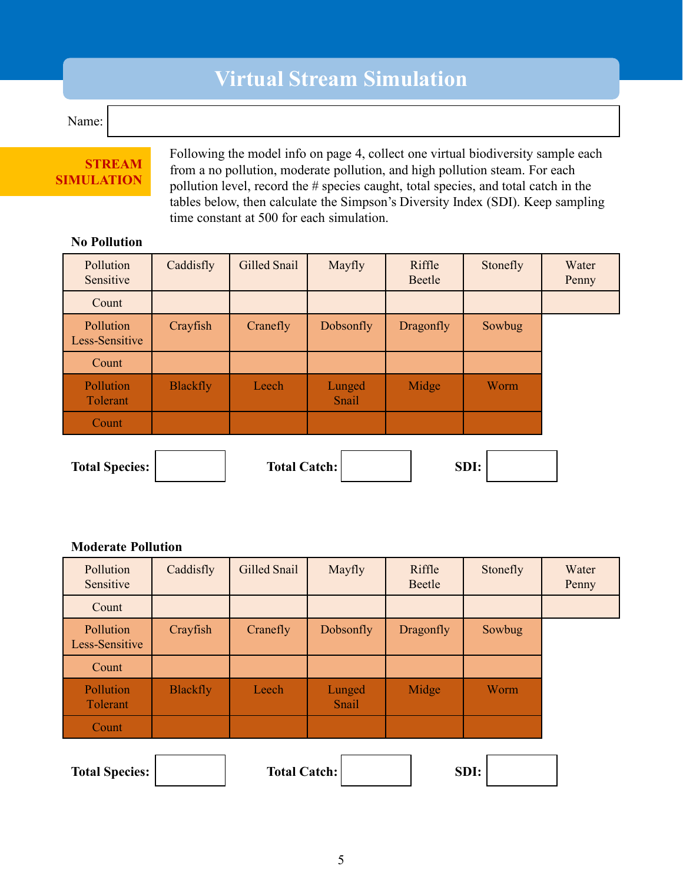# **Virtual Stream Simulation**

Name:

### **STREAM SIMULATION**

Following the model info on page 4, collect one virtual biodiversity sample each from a no pollution, moderate pollution, and high pollution steam. For each pollution level, record the # species caught, total species, and total catch in the tables below, then calculate the Simpson's Diversity Index (SDI). Keep sampling time constant at 500 for each simulation.

### **No Pollution**

| Pollution<br>Sensitive                               | Caddisfly       | Gilled Snail | Mayfly          | Riffle<br>Beetle | Stonefly | Water<br>Penny |  |
|------------------------------------------------------|-----------------|--------------|-----------------|------------------|----------|----------------|--|
| Count                                                |                 |              |                 |                  |          |                |  |
| Pollution<br>Less-Sensitive                          | Crayfish        | Cranefly     | Dobsonfly       | Dragonfly        | Sowbug   |                |  |
| Count                                                |                 |              |                 |                  |          |                |  |
| Pollution<br>Tolerant                                | <b>Blackfly</b> | Leech        | Lunged<br>Snail | Midge            | Worm     |                |  |
| Count                                                |                 |              |                 |                  |          |                |  |
| <b>Total Catch:</b><br>SDI:<br><b>Total Species:</b> |                 |              |                 |                  |          |                |  |

#### **Moderate Pollution**

| Pollution<br>Sensitive      | Caddisfly       | Gilled Snail        | Mayfly          | Riffle<br>Beetle | Stonefly | Water<br>Penny |
|-----------------------------|-----------------|---------------------|-----------------|------------------|----------|----------------|
| Count                       |                 |                     |                 |                  |          |                |
| Pollution<br>Less-Sensitive | Crayfish        | Cranefly            | Dobsonfly       | Dragonfly        | Sowbug   |                |
| Count                       |                 |                     |                 |                  |          |                |
| Pollution<br>Tolerant       | <b>Blackfly</b> | Leech               | Lunged<br>Snail | Midge            | Worm     |                |
| Count                       |                 |                     |                 |                  |          |                |
|                             |                 |                     |                 |                  |          |                |
| <b>Total Species:</b>       |                 | <b>Total Catch:</b> |                 |                  | SDI:     |                |